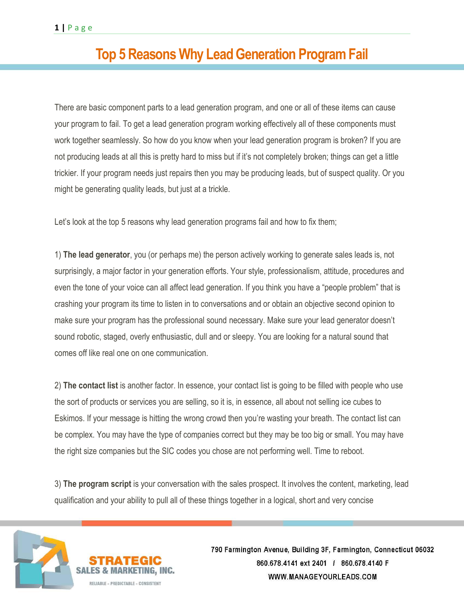## **Top 5 Reasons Why Lead Generation Program Fail**

There are basic component parts to a lead generation program, and one or all of these items can cause your program to fail. To get a lead generation program working effectively all of these components must work together seamlessly. So how do you know when your lead generation program is broken? If you are not producing leads at all this is pretty hard to miss but if it's not completely broken; things can get a little trickier. If your program needs just repairs then you may be producing leads, but of suspect quality. Or you might be generating quality leads, but just at a trickle.

Let's look at the top 5 reasons why lead generation programs fail and how to fix them;

1) **The lead generator**, you (or perhaps me) the person actively working to generate sales leads is, not surprisingly, a major factor in your generation efforts. Your style, professionalism, attitude, procedures and even the tone of your voice can all affect lead generation. If you think you have a "people problem" that is crashing your program its time to listen in to conversations and or obtain an objective second opinion to make sure your program has the professional sound necessary. Make sure your lead generator doesn't sound robotic, staged, overly enthusiastic, dull and or sleepy. You are looking for a natural sound that comes off like real one on one communication.

2) **The contact list** is another factor. In essence, your contact list is going to be filled with people who use the sort of products or services you are selling, so it is, in essence, all about not selling ice cubes to Eskimos. If your message is hitting the wrong crowd then you're wasting your breath. The contact list can be complex. You may have the type of companies correct but they may be too big or small. You may have the right size companies but the SIC codes you chose are not performing well. Time to reboot.

3) **The program script** is your conversation with the sales prospect. It involves the content, marketing, lead qualification and your ability to pull all of these things together in a logical, short and very concise



& MARKETING, INC.

RELIARIE - PREDICTARIE - CONSISTENT

790 Farmington Avenue, Building 3F, Farmington, Connecticut 06032 860.678.4141 ext 2401 / 860.678.4140 F WWW.MANAGEYOURLEADS.COM